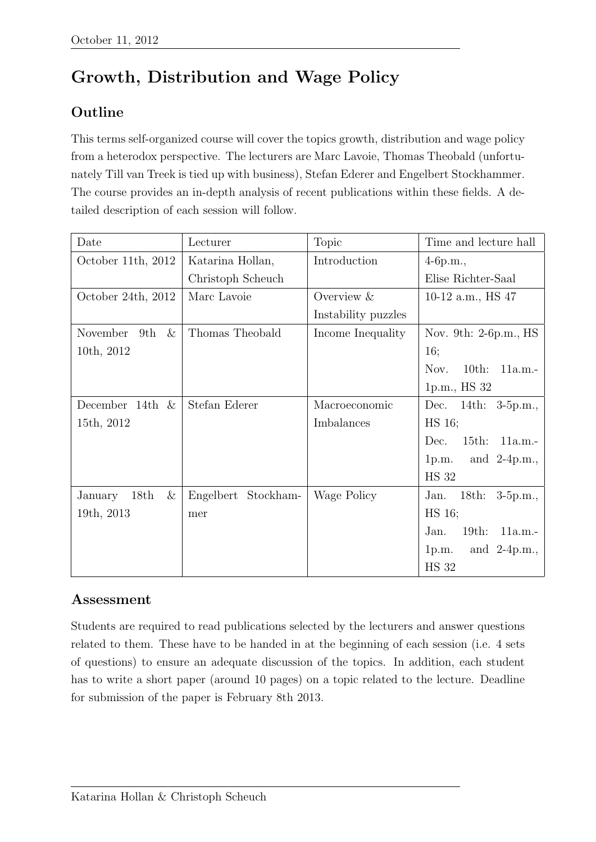## Growth, Distribution and Wage Policy

## Outline

This terms self-organized course will cover the topics growth, distribution and wage policy from a heterodox perspective. The lecturers are Marc Lavoie, Thomas Theobald (unfortunately Till van Treek is tied up with business), Stefan Ederer and Engelbert Stockhammer. The course provides an in-depth analysis of recent publications within these fields. A detailed description of each session will follow.

| Date                    | Lecturer            | <b>Topic</b>        | Time and lecture hall               |
|-------------------------|---------------------|---------------------|-------------------------------------|
| October 11th, 2012      | Katarina Hollan,    | Introduction        | $4-6p.m.,$                          |
|                         | Christoph Scheuch   |                     | Elise Richter-Saal                  |
| October 24th, 2012      | Marc Lavoie         | Overview $\&$       | 10-12 a.m., $HS$ 47                 |
|                         |                     | Instability puzzles |                                     |
| $\&$<br>November<br>9th | Thomas Theobald     | Income Inequality   | Nov. 9th: 2-6p.m., HS               |
| 10th, 2012              |                     |                     | 16;                                 |
|                         |                     |                     | Nov.<br>$10th$ :<br>11a.m.          |
|                         |                     |                     | 1p.m., HS 32                        |
| December 14th $\&$      | Stefan Ederer       | Macroeconomic       | Dec. 14th: 3-5p.m.,                 |
| 15th, 2012              |                     | Imbalances          | HS 16;                              |
|                         |                     |                     | 15th: 11a.m.-<br>Dec.               |
|                         |                     |                     | 1p.m. and $2-4p.m.,$                |
|                         |                     |                     | <b>HS 32</b>                        |
| $\&$<br>18th<br>January | Engelbert Stockham- | Wage Policy         | $18th$ :<br>$3-5p.m.,$<br>Jan.      |
| 19th, 2013              | mer                 |                     | HS 16;                              |
|                         |                     |                     | $19th$ :<br>Jan.<br>11a.m.          |
|                         |                     |                     | and $2-4p.m.,$<br>1 <sub>p.m.</sub> |
|                         |                     |                     | <b>HS 32</b>                        |

## Assessment

Students are required to read publications selected by the lecturers and answer questions related to them. These have to be handed in at the beginning of each session (i.e. 4 sets of questions) to ensure an adequate discussion of the topics. In addition, each student has to write a short paper (around 10 pages) on a topic related to the lecture. Deadline for submission of the paper is February 8th 2013.